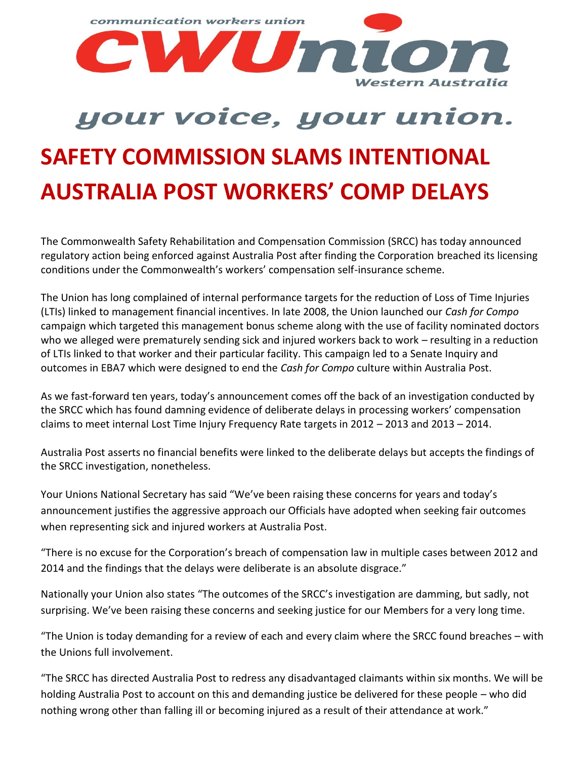

## your voice, your union. **SAFETY COMMISSION SLAMS INTENTIONAL AUSTRALIA POST WORKERS' COMP DELAYS**

The Commonwealth Safety Rehabilitation and Compensation Commission (SRCC) has today announced regulatory action being enforced against Australia Post after finding the Corporation breached its licensing conditions under the Commonwealth's workers' compensation self-insurance scheme.

The Union has long complained of internal performance targets for the reduction of Loss of Time Injuries (LTIs) linked to management financial incentives. In late 2008, the Union launched our *Cash for Compo* campaign which targeted this management bonus scheme along with the use of facility nominated doctors who we alleged were prematurely sending sick and injured workers back to work – resulting in a reduction of LTIs linked to that worker and their particular facility. This campaign led to a Senate Inquiry and outcomes in EBA7 which were designed to end the *Cash for Compo* culture within Australia Post.

As we fast-forward ten years, today's announcement comes off the back of an investigation conducted by the SRCC which has found damning evidence of deliberate delays in processing workers' compensation claims to meet internal Lost Time Injury Frequency Rate targets in 2012 – 2013 and 2013 – 2014.

Australia Post asserts no financial benefits were linked to the deliberate delays but accepts the findings of the SRCC investigation, nonetheless.

Your Unions National Secretary has said "We've been raising these concerns for years and today's announcement justifies the aggressive approach our Officials have adopted when seeking fair outcomes when representing sick and injured workers at Australia Post.

"There is no excuse for the Corporation's breach of compensation law in multiple cases between 2012 and 2014 and the findings that the delays were deliberate is an absolute disgrace."

Nationally your Union also states "The outcomes of the SRCC's investigation are damming, but sadly, not surprising. We've been raising these concerns and seeking justice for our Members for a very long time.

"The Union is today demanding for a review of each and every claim where the SRCC found breaches – with the Unions full involvement.

"The SRCC has directed Australia Post to redress any disadvantaged claimants within six months. We will be holding Australia Post to account on this and demanding justice be delivered for these people – who did nothing wrong other than falling ill or becoming injured as a result of their attendance at work."